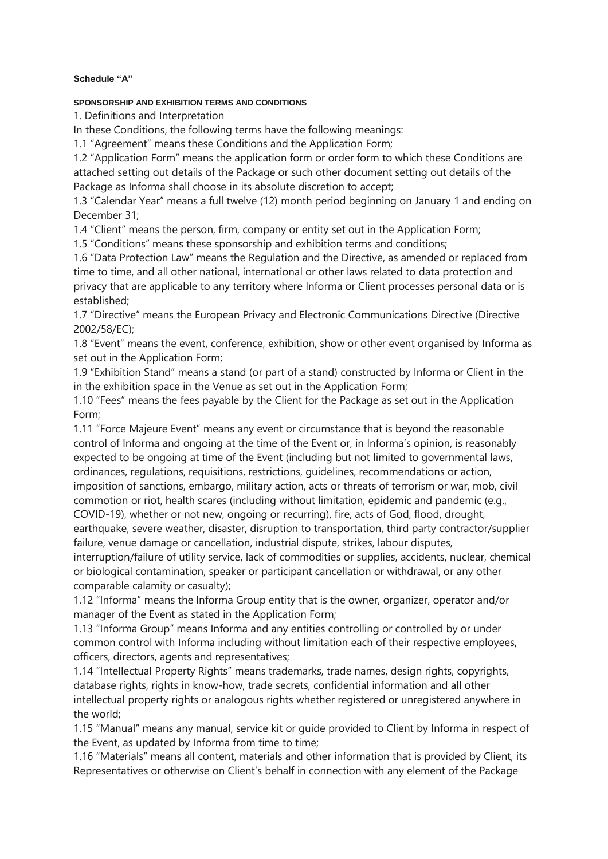#### **Schedule "A"**

#### **SPONSORSHIP AND EXHIBITION TERMS AND CONDITIONS**

1. Definitions and Interpretation

In these Conditions, the following terms have the following meanings:

1.1 "Agreement" means these Conditions and the Application Form;

1.2 "Application Form" means the application form or order form to which these Conditions are attached setting out details of the Package or such other document setting out details of the Package as Informa shall choose in its absolute discretion to accept;

1.3 "Calendar Year" means a full twelve (12) month period beginning on January 1 and ending on December 31;

1.4 "Client" means the person, firm, company or entity set out in the Application Form;

1.5 "Conditions" means these sponsorship and exhibition terms and conditions;

1.6 "Data Protection Law" means the Regulation and the Directive, as amended or replaced from time to time, and all other national, international or other laws related to data protection and privacy that are applicable to any territory where Informa or Client processes personal data or is established;

1.7 "Directive" means the European Privacy and Electronic Communications Directive (Directive 2002/58/EC);

1.8 "Event" means the event, conference, exhibition, show or other event organised by Informa as set out in the Application Form;

1.9 "Exhibition Stand" means a stand (or part of a stand) constructed by Informa or Client in the in the exhibition space in the Venue as set out in the Application Form;

1.10 "Fees" means the fees payable by the Client for the Package as set out in the Application Form;

1.11 "Force Majeure Event" means any event or circumstance that is beyond the reasonable control of Informa and ongoing at the time of the Event or, in Informa's opinion, is reasonably expected to be ongoing at time of the Event (including but not limited to governmental laws, ordinances, regulations, requisitions, restrictions, guidelines, recommendations or action, imposition of sanctions, embargo, military action, acts or threats of terrorism or war, mob, civil commotion or riot, health scares (including without limitation, epidemic and pandemic (e.g., COVID-19), whether or not new, ongoing or recurring), fire, acts of God, flood, drought, earthquake, severe weather, disaster, disruption to transportation, third party contractor/supplier

failure, venue damage or cancellation, industrial dispute, strikes, labour disputes, interruption/failure of utility service, lack of commodities or supplies, accidents, nuclear, chemical or biological contamination, speaker or participant cancellation or withdrawal, or any other comparable calamity or casualty);

1.12 "Informa" means the Informa Group entity that is the owner, organizer, operator and/or manager of the Event as stated in the Application Form;

1.13 "Informa Group" means Informa and any entities controlling or controlled by or under common control with Informa including without limitation each of their respective employees, officers, directors, agents and representatives;

1.14 "Intellectual Property Rights" means trademarks, trade names, design rights, copyrights, database rights, rights in know-how, trade secrets, confidential information and all other intellectual property rights or analogous rights whether registered or unregistered anywhere in the world;

1.15 "Manual" means any manual, service kit or guide provided to Client by Informa in respect of the Event, as updated by Informa from time to time;

1.16 "Materials" means all content, materials and other information that is provided by Client, its Representatives or otherwise on Client's behalf in connection with any element of the Package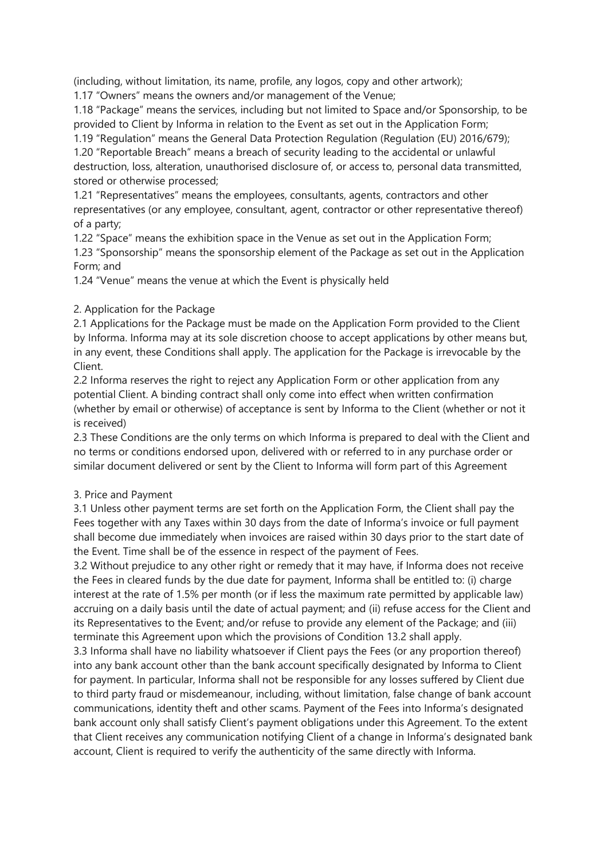(including, without limitation, its name, profile, any logos, copy and other artwork);

1.17 "Owners" means the owners and/or management of the Venue;

1.18 "Package" means the services, including but not limited to Space and/or Sponsorship, to be provided to Client by Informa in relation to the Event as set out in the Application Form;

1.19 "Regulation" means the General Data Protection Regulation (Regulation (EU) 2016/679); 1.20 "Reportable Breach" means a breach of security leading to the accidental or unlawful destruction, loss, alteration, unauthorised disclosure of, or access to, personal data transmitted, stored or otherwise processed;

1.21 "Representatives" means the employees, consultants, agents, contractors and other representatives (or any employee, consultant, agent, contractor or other representative thereof) of a party;

1.22 "Space" means the exhibition space in the Venue as set out in the Application Form;

1.23 "Sponsorship" means the sponsorship element of the Package as set out in the Application Form; and

1.24 "Venue" means the venue at which the Event is physically held

### 2. Application for the Package

2.1 Applications for the Package must be made on the Application Form provided to the Client by Informa. Informa may at its sole discretion choose to accept applications by other means but, in any event, these Conditions shall apply. The application for the Package is irrevocable by the Client.

2.2 Informa reserves the right to reject any Application Form or other application from any potential Client. A binding contract shall only come into effect when written confirmation (whether by email or otherwise) of acceptance is sent by Informa to the Client (whether or not it is received)

2.3 These Conditions are the only terms on which Informa is prepared to deal with the Client and no terms or conditions endorsed upon, delivered with or referred to in any purchase order or similar document delivered or sent by the Client to Informa will form part of this Agreement

### 3. Price and Payment

3.1 Unless other payment terms are set forth on the Application Form, the Client shall pay the Fees together with any Taxes within 30 days from the date of Informa's invoice or full payment shall become due immediately when invoices are raised within 30 days prior to the start date of the Event. Time shall be of the essence in respect of the payment of Fees.

3.2 Without prejudice to any other right or remedy that it may have, if Informa does not receive the Fees in cleared funds by the due date for payment, Informa shall be entitled to: (i) charge interest at the rate of 1.5% per month (or if less the maximum rate permitted by applicable law) accruing on a daily basis until the date of actual payment; and (ii) refuse access for the Client and its Representatives to the Event; and/or refuse to provide any element of the Package; and (iii) terminate this Agreement upon which the provisions of Condition 13.2 shall apply.

3.3 Informa shall have no liability whatsoever if Client pays the Fees (or any proportion thereof) into any bank account other than the bank account specifically designated by Informa to Client for payment. In particular, Informa shall not be responsible for any losses suffered by Client due to third party fraud or misdemeanour, including, without limitation, false change of bank account communications, identity theft and other scams. Payment of the Fees into Informa's designated bank account only shall satisfy Client's payment obligations under this Agreement. To the extent that Client receives any communication notifying Client of a change in Informa's designated bank account, Client is required to verify the authenticity of the same directly with Informa.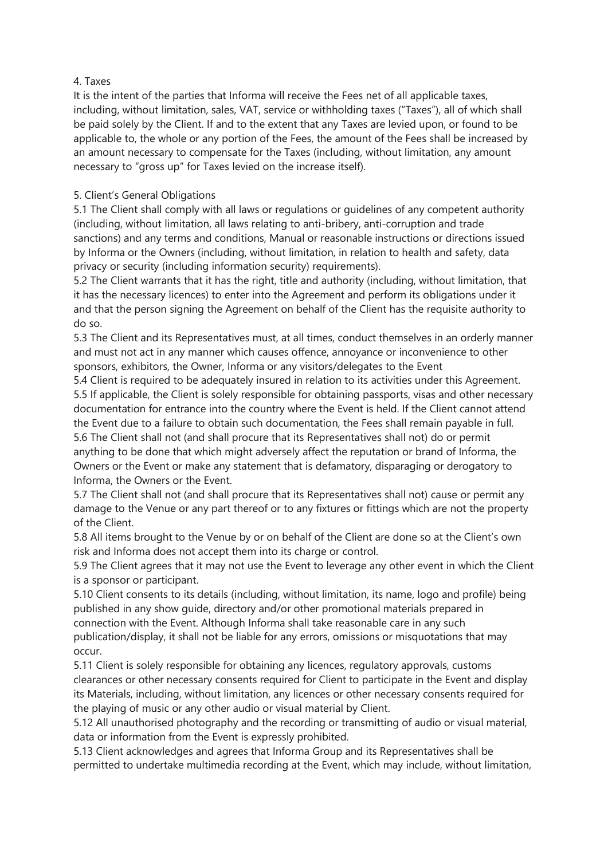### 4. Taxes

It is the intent of the parties that Informa will receive the Fees net of all applicable taxes, including, without limitation, sales, VAT, service or withholding taxes ("Taxes"), all of which shall be paid solely by the Client. If and to the extent that any Taxes are levied upon, or found to be applicable to, the whole or any portion of the Fees, the amount of the Fees shall be increased by an amount necessary to compensate for the Taxes (including, without limitation, any amount necessary to "gross up" for Taxes levied on the increase itself).

# 5. Client's General Obligations

5.1 The Client shall comply with all laws or regulations or guidelines of any competent authority (including, without limitation, all laws relating to anti-bribery, anti-corruption and trade sanctions) and any terms and conditions, Manual or reasonable instructions or directions issued by Informa or the Owners (including, without limitation, in relation to health and safety, data privacy or security (including information security) requirements).

5.2 The Client warrants that it has the right, title and authority (including, without limitation, that it has the necessary licences) to enter into the Agreement and perform its obligations under it and that the person signing the Agreement on behalf of the Client has the requisite authority to do so.

5.3 The Client and its Representatives must, at all times, conduct themselves in an orderly manner and must not act in any manner which causes offence, annoyance or inconvenience to other sponsors, exhibitors, the Owner, Informa or any visitors/delegates to the Event

5.4 Client is required to be adequately insured in relation to its activities under this Agreement. 5.5 If applicable, the Client is solely responsible for obtaining passports, visas and other necessary documentation for entrance into the country where the Event is held. If the Client cannot attend the Event due to a failure to obtain such documentation, the Fees shall remain payable in full. 5.6 The Client shall not (and shall procure that its Representatives shall not) do or permit anything to be done that which might adversely affect the reputation or brand of Informa, the Owners or the Event or make any statement that is defamatory, disparaging or derogatory to Informa, the Owners or the Event.

5.7 The Client shall not (and shall procure that its Representatives shall not) cause or permit any damage to the Venue or any part thereof or to any fixtures or fittings which are not the property of the Client.

5.8 All items brought to the Venue by or on behalf of the Client are done so at the Client's own risk and Informa does not accept them into its charge or control.

5.9 The Client agrees that it may not use the Event to leverage any other event in which the Client is a sponsor or participant.

5.10 Client consents to its details (including, without limitation, its name, logo and profile) being published in any show guide, directory and/or other promotional materials prepared in connection with the Event. Although Informa shall take reasonable care in any such publication/display, it shall not be liable for any errors, omissions or misquotations that may occur.

5.11 Client is solely responsible for obtaining any licences, regulatory approvals, customs clearances or other necessary consents required for Client to participate in the Event and display its Materials, including, without limitation, any licences or other necessary consents required for the playing of music or any other audio or visual material by Client.

5.12 All unauthorised photography and the recording or transmitting of audio or visual material, data or information from the Event is expressly prohibited.

5.13 Client acknowledges and agrees that Informa Group and its Representatives shall be permitted to undertake multimedia recording at the Event, which may include, without limitation,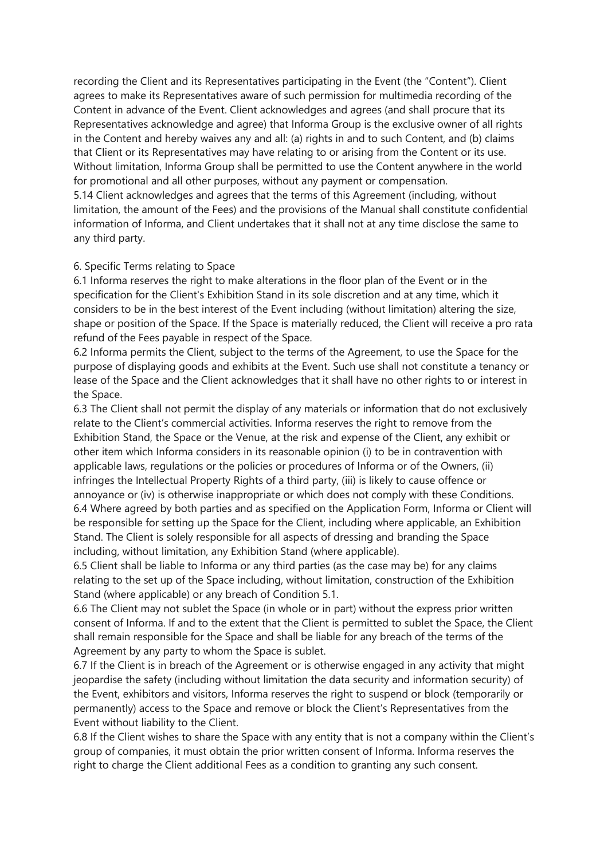recording the Client and its Representatives participating in the Event (the "Content"). Client agrees to make its Representatives aware of such permission for multimedia recording of the Content in advance of the Event. Client acknowledges and agrees (and shall procure that its Representatives acknowledge and agree) that Informa Group is the exclusive owner of all rights in the Content and hereby waives any and all: (a) rights in and to such Content, and (b) claims that Client or its Representatives may have relating to or arising from the Content or its use. Without limitation, Informa Group shall be permitted to use the Content anywhere in the world for promotional and all other purposes, without any payment or compensation. 5.14 Client acknowledges and agrees that the terms of this Agreement (including, without

limitation, the amount of the Fees) and the provisions of the Manual shall constitute confidential information of Informa, and Client undertakes that it shall not at any time disclose the same to any third party.

#### 6. Specific Terms relating to Space

6.1 Informa reserves the right to make alterations in the floor plan of the Event or in the specification for the Client's Exhibition Stand in its sole discretion and at any time, which it considers to be in the best interest of the Event including (without limitation) altering the size, shape or position of the Space. If the Space is materially reduced, the Client will receive a pro rata refund of the Fees payable in respect of the Space.

6.2 Informa permits the Client, subject to the terms of the Agreement, to use the Space for the purpose of displaying goods and exhibits at the Event. Such use shall not constitute a tenancy or lease of the Space and the Client acknowledges that it shall have no other rights to or interest in the Space.

6.3 The Client shall not permit the display of any materials or information that do not exclusively relate to the Client's commercial activities. Informa reserves the right to remove from the Exhibition Stand, the Space or the Venue, at the risk and expense of the Client, any exhibit or other item which Informa considers in its reasonable opinion (i) to be in contravention with applicable laws, regulations or the policies or procedures of Informa or of the Owners, (ii) infringes the Intellectual Property Rights of a third party, (iii) is likely to cause offence or annoyance or (iv) is otherwise inappropriate or which does not comply with these Conditions. 6.4 Where agreed by both parties and as specified on the Application Form, Informa or Client will be responsible for setting up the Space for the Client, including where applicable, an Exhibition Stand. The Client is solely responsible for all aspects of dressing and branding the Space including, without limitation, any Exhibition Stand (where applicable).

6.5 Client shall be liable to Informa or any third parties (as the case may be) for any claims relating to the set up of the Space including, without limitation, construction of the Exhibition Stand (where applicable) or any breach of Condition 5.1.

6.6 The Client may not sublet the Space (in whole or in part) without the express prior written consent of Informa. If and to the extent that the Client is permitted to sublet the Space, the Client shall remain responsible for the Space and shall be liable for any breach of the terms of the Agreement by any party to whom the Space is sublet.

6.7 If the Client is in breach of the Agreement or is otherwise engaged in any activity that might jeopardise the safety (including without limitation the data security and information security) of the Event, exhibitors and visitors, Informa reserves the right to suspend or block (temporarily or permanently) access to the Space and remove or block the Client's Representatives from the Event without liability to the Client.

6.8 If the Client wishes to share the Space with any entity that is not a company within the Client's group of companies, it must obtain the prior written consent of Informa. Informa reserves the right to charge the Client additional Fees as a condition to granting any such consent.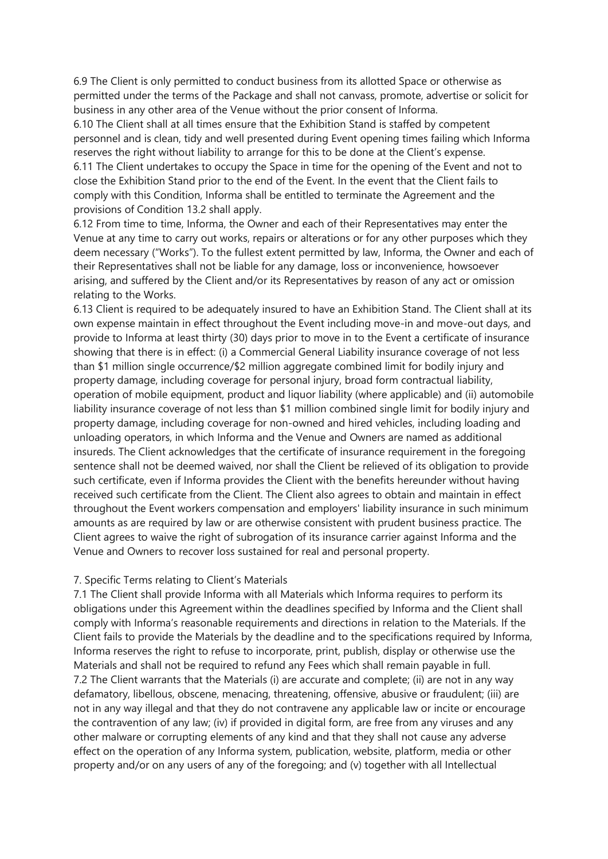6.9 The Client is only permitted to conduct business from its allotted Space or otherwise as permitted under the terms of the Package and shall not canvass, promote, advertise or solicit for business in any other area of the Venue without the prior consent of Informa.

6.10 The Client shall at all times ensure that the Exhibition Stand is staffed by competent personnel and is clean, tidy and well presented during Event opening times failing which Informa reserves the right without liability to arrange for this to be done at the Client's expense.

6.11 The Client undertakes to occupy the Space in time for the opening of the Event and not to close the Exhibition Stand prior to the end of the Event. In the event that the Client fails to comply with this Condition, Informa shall be entitled to terminate the Agreement and the provisions of Condition 13.2 shall apply.

6.12 From time to time, Informa, the Owner and each of their Representatives may enter the Venue at any time to carry out works, repairs or alterations or for any other purposes which they deem necessary ("Works"). To the fullest extent permitted by law, Informa, the Owner and each of their Representatives shall not be liable for any damage, loss or inconvenience, howsoever arising, and suffered by the Client and/or its Representatives by reason of any act or omission relating to the Works.

6.13 Client is required to be adequately insured to have an Exhibition Stand. The Client shall at its own expense maintain in effect throughout the Event including move-in and move-out days, and provide to Informa at least thirty (30) days prior to move in to the Event a certificate of insurance showing that there is in effect: (i) a Commercial General Liability insurance coverage of not less than \$1 million single occurrence/\$2 million aggregate combined limit for bodily injury and property damage, including coverage for personal injury, broad form contractual liability, operation of mobile equipment, product and liquor liability (where applicable) and (ii) automobile liability insurance coverage of not less than \$1 million combined single limit for bodily injury and property damage, including coverage for non-owned and hired vehicles, including loading and unloading operators, in which Informa and the Venue and Owners are named as additional insureds. The Client acknowledges that the certificate of insurance requirement in the foregoing sentence shall not be deemed waived, nor shall the Client be relieved of its obligation to provide such certificate, even if Informa provides the Client with the benefits hereunder without having received such certificate from the Client. The Client also agrees to obtain and maintain in effect throughout the Event workers compensation and employers' liability insurance in such minimum amounts as are required by law or are otherwise consistent with prudent business practice. The Client agrees to waive the right of subrogation of its insurance carrier against Informa and the Venue and Owners to recover loss sustained for real and personal property.

#### 7. Specific Terms relating to Client's Materials

7.1 The Client shall provide Informa with all Materials which Informa requires to perform its obligations under this Agreement within the deadlines specified by Informa and the Client shall comply with Informa's reasonable requirements and directions in relation to the Materials. If the Client fails to provide the Materials by the deadline and to the specifications required by Informa, Informa reserves the right to refuse to incorporate, print, publish, display or otherwise use the Materials and shall not be required to refund any Fees which shall remain payable in full. 7.2 The Client warrants that the Materials (i) are accurate and complete; (ii) are not in any way defamatory, libellous, obscene, menacing, threatening, offensive, abusive or fraudulent; (iii) are not in any way illegal and that they do not contravene any applicable law or incite or encourage the contravention of any law; (iv) if provided in digital form, are free from any viruses and any other malware or corrupting elements of any kind and that they shall not cause any adverse effect on the operation of any Informa system, publication, website, platform, media or other property and/or on any users of any of the foregoing; and (v) together with all Intellectual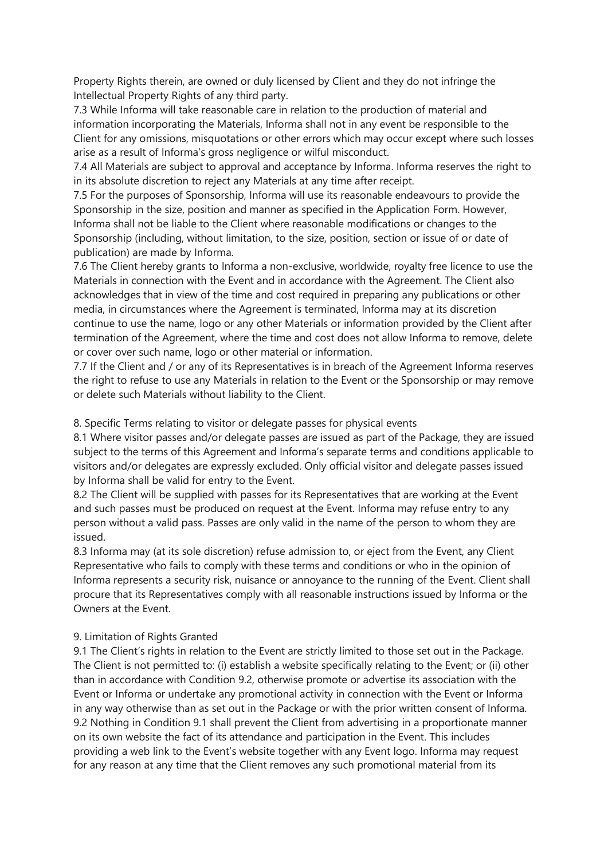Property Rights therein, are owned or duly licensed by Client and they do not infringe the Intellectual Property Rights of any third party.

7.3 While Informa will take reasonable care in relation to the production of material and information incorporating the Materials, Informa shall not in any event be responsible to the Client for any omissions, misquotations or other errors which may occur except where such losses arise as a result of Informa's gross negligence or wilful misconduct.

7.4 All Materials are subject to approval and acceptance by Informa. Informa reserves the right to in its absolute discretion to reject any Materials at any time after receipt.

7.5 For the purposes of Sponsorship, Informa will use its reasonable endeavours to provide the Sponsorship in the size, position and manner as specified in the Application Form. However, Informa shall not be liable to the Client where reasonable modifications or changes to the Sponsorship (including, without limitation, to the size, position, section or issue of or date of publication) are made by Informa.

7.6 The Client hereby grants to Informa a non-exclusive, worldwide, royalty free licence to use the Materials in connection with the Event and in accordance with the Agreement. The Client also acknowledges that in view of the time and cost required in preparing any publications or other media, in circumstances where the Agreement is terminated, Informa may at its discretion continue to use the name, logo or any other Materials or information provided by the Client after termination of the Agreement, where the time and cost does not allow Informa to remove, delete or cover over such name, logo or other material or information.

7.7 If the Client and / or any of its Representatives is in breach of the Agreement Informa reserves the right to refuse to use any Materials in relation to the Event or the Sponsorship or may remove or delete such Materials without liability to the Client.

8. Specific Terms relating to visitor or delegate passes for physical events

8.1 Where visitor passes and/or delegate passes are issued as part of the Package, they are issued subject to the terms of this Agreement and Informa's separate terms and conditions applicable to visitors and/or delegates are expressly excluded. Only official visitor and delegate passes issued by Informa shall be valid for entry to the Event.

8.2 The Client will be supplied with passes for its Representatives that are working at the Event and such passes must be produced on request at the Event. Informa may refuse entry to any person without a valid pass. Passes are only valid in the name of the person to whom they are issued.

8.3 Informa may (at its sole discretion) refuse admission to, or eject from the Event, any Client Representative who fails to comply with these terms and conditions or who in the opinion of Informa represents a security risk, nuisance or annoyance to the running of the Event. Client shall procure that its Representatives comply with all reasonable instructions issued by Informa or the Owners at the Event.

### 9. Limitation of Rights Granted

9.1 The Client's rights in relation to the Event are strictly limited to those set out in the Package. The Client is not permitted to: (i) establish a website specifically relating to the Event; or (ii) other than in accordance with Condition 9.2, otherwise promote or advertise its association with the Event or Informa or undertake any promotional activity in connection with the Event or Informa in any way otherwise than as set out in the Package or with the prior written consent of Informa. 9.2 Nothing in Condition 9.1 shall prevent the Client from advertising in a proportionate manner on its own website the fact of its attendance and participation in the Event. This includes providing a web link to the Event's website together with any Event logo. Informa may request for any reason at any time that the Client removes any such promotional material from its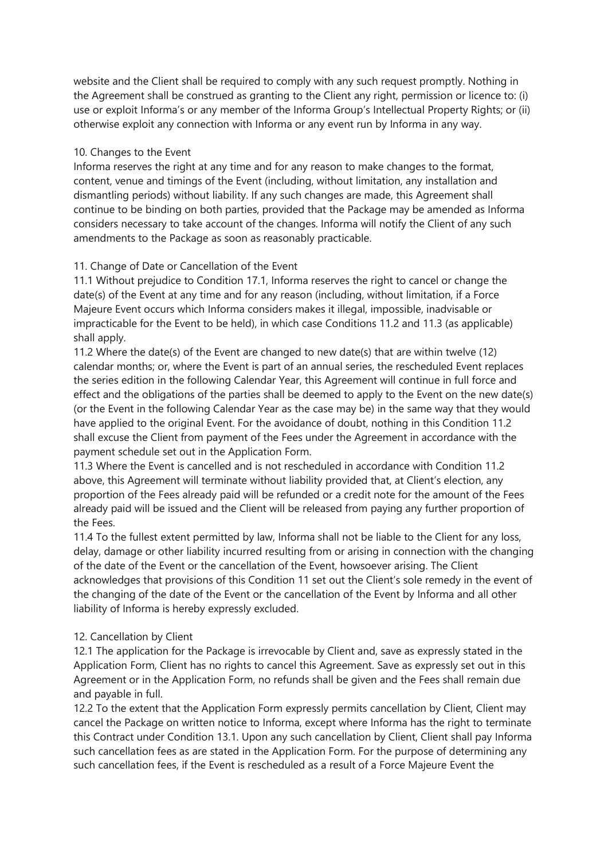website and the Client shall be required to comply with any such request promptly. Nothing in the Agreement shall be construed as granting to the Client any right, permission or licence to: (i) use or exploit Informa's or any member of the Informa Group's Intellectual Property Rights; or (ii) otherwise exploit any connection with Informa or any event run by Informa in any way.

#### 10. Changes to the Event

Informa reserves the right at any time and for any reason to make changes to the format, content, venue and timings of the Event (including, without limitation, any installation and dismantling periods) without liability. If any such changes are made, this Agreement shall continue to be binding on both parties, provided that the Package may be amended as Informa considers necessary to take account of the changes. Informa will notify the Client of any such amendments to the Package as soon as reasonably practicable.

### 11. Change of Date or Cancellation of the Event

11.1 Without prejudice to Condition 17.1, Informa reserves the right to cancel or change the date(s) of the Event at any time and for any reason (including, without limitation, if a Force Majeure Event occurs which Informa considers makes it illegal, impossible, inadvisable or impracticable for the Event to be held), in which case Conditions 11.2 and 11.3 (as applicable) shall apply.

11.2 Where the date(s) of the Event are changed to new date(s) that are within twelve (12) calendar months; or, where the Event is part of an annual series, the rescheduled Event replaces the series edition in the following Calendar Year, this Agreement will continue in full force and effect and the obligations of the parties shall be deemed to apply to the Event on the new date(s) (or the Event in the following Calendar Year as the case may be) in the same way that they would have applied to the original Event. For the avoidance of doubt, nothing in this Condition 11.2 shall excuse the Client from payment of the Fees under the Agreement in accordance with the payment schedule set out in the Application Form.

11.3 Where the Event is cancelled and is not rescheduled in accordance with Condition 11.2 above, this Agreement will terminate without liability provided that, at Client's election, any proportion of the Fees already paid will be refunded or a credit note for the amount of the Fees already paid will be issued and the Client will be released from paying any further proportion of the Fees.

11.4 To the fullest extent permitted by law, Informa shall not be liable to the Client for any loss, delay, damage or other liability incurred resulting from or arising in connection with the changing of the date of the Event or the cancellation of the Event, howsoever arising. The Client acknowledges that provisions of this Condition 11 set out the Client's sole remedy in the event of the changing of the date of the Event or the cancellation of the Event by Informa and all other liability of Informa is hereby expressly excluded.

### 12. Cancellation by Client

12.1 The application for the Package is irrevocable by Client and, save as expressly stated in the Application Form, Client has no rights to cancel this Agreement. Save as expressly set out in this Agreement or in the Application Form, no refunds shall be given and the Fees shall remain due and payable in full.

12.2 To the extent that the Application Form expressly permits cancellation by Client, Client may cancel the Package on written notice to Informa, except where Informa has the right to terminate this Contract under Condition 13.1. Upon any such cancellation by Client, Client shall pay Informa such cancellation fees as are stated in the Application Form. For the purpose of determining any such cancellation fees, if the Event is rescheduled as a result of a Force Majeure Event the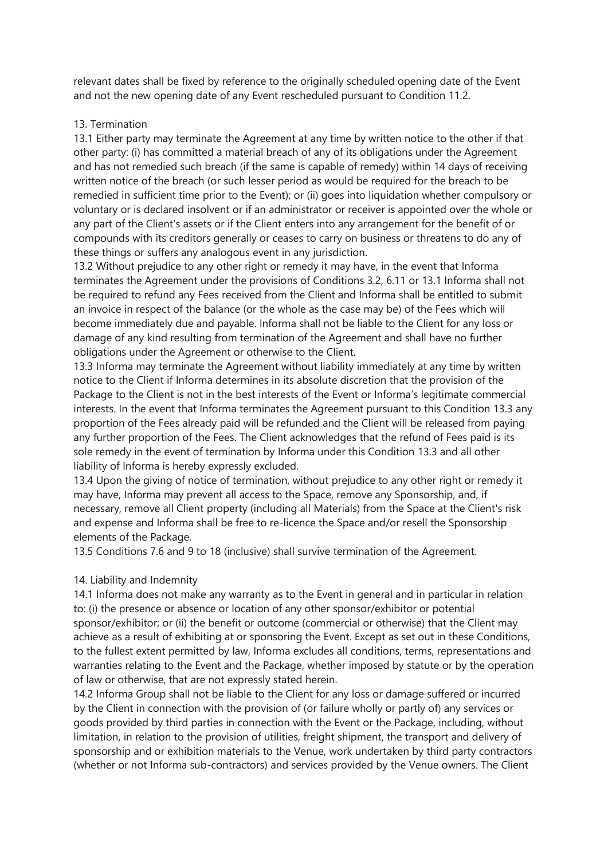relevant dates shall be fixed by reference to the originally scheduled opening date of the Event and not the new opening date of any Event rescheduled pursuant to Condition 11.2.

#### 13. Termination

13.1 Either party may terminate the Agreement at any time by written notice to the other if that other party: (i) has committed a material breach of any of its obligations under the Agreement and has not remedied such breach (if the same is capable of remedy) within 14 days of receiving written notice of the breach (or such lesser period as would be required for the breach to be remedied in sufficient time prior to the Event); or (ii) goes into liquidation whether compulsory or voluntary or is declared insolvent or if an administrator or receiver is appointed over the whole or any part of the Client's assets or if the Client enters into any arrangement for the benefit of or compounds with its creditors generally or ceases to carry on business or threatens to do any of these things or suffers any analogous event in any jurisdiction.

13.2 Without prejudice to any other right or remedy it may have, in the event that Informa terminates the Agreement under the provisions of Conditions 3.2, 6.11 or 13.1 Informa shall not be required to refund any Fees received from the Client and Informa shall be entitled to submit an invoice in respect of the balance (or the whole as the case may be) of the Fees which will become immediately due and payable. Informa shall not be liable to the Client for any loss or damage of any kind resulting from termination of the Agreement and shall have no further obligations under the Agreement or otherwise to the Client.

13.3 Informa may terminate the Agreement without liability immediately at any time by written notice to the Client if Informa determines in its absolute discretion that the provision of the Package to the Client is not in the best interests of the Event or Informa's legitimate commercial interests. In the event that Informa terminates the Agreement pursuant to this Condition 13.3 any proportion of the Fees already paid will be refunded and the Client will be released from paying any further proportion of the Fees. The Client acknowledges that the refund of Fees paid is its sole remedy in the event of termination by Informa under this Condition 13.3 and all other liability of Informa is hereby expressly excluded.

13.4 Upon the giving of notice of termination, without prejudice to any other right or remedy it may have, Informa may prevent all access to the Space, remove any Sponsorship, and, if necessary, remove all Client property (including all Materials) from the Space at the Client's risk and expense and Informa shall be free to re-licence the Space and/or resell the Sponsorship elements of the Package.

13.5 Conditions 7.6 and 9 to 18 (inclusive) shall survive termination of the Agreement.

### 14. Liability and Indemnity

14.1 Informa does not make any warranty as to the Event in general and in particular in relation to: (i) the presence or absence or location of any other sponsor/exhibitor or potential sponsor/exhibitor; or (ii) the benefit or outcome (commercial or otherwise) that the Client may achieve as a result of exhibiting at or sponsoring the Event. Except as set out in these Conditions, to the fullest extent permitted by law, Informa excludes all conditions, terms, representations and warranties relating to the Event and the Package, whether imposed by statute or by the operation of law or otherwise, that are not expressly stated herein.

14.2 Informa Group shall not be liable to the Client for any loss or damage suffered or incurred by the Client in connection with the provision of (or failure wholly or partly of) any services or goods provided by third parties in connection with the Event or the Package, including, without limitation, in relation to the provision of utilities, freight shipment, the transport and delivery of sponsorship and or exhibition materials to the Venue, work undertaken by third party contractors (whether or not Informa sub-contractors) and services provided by the Venue owners. The Client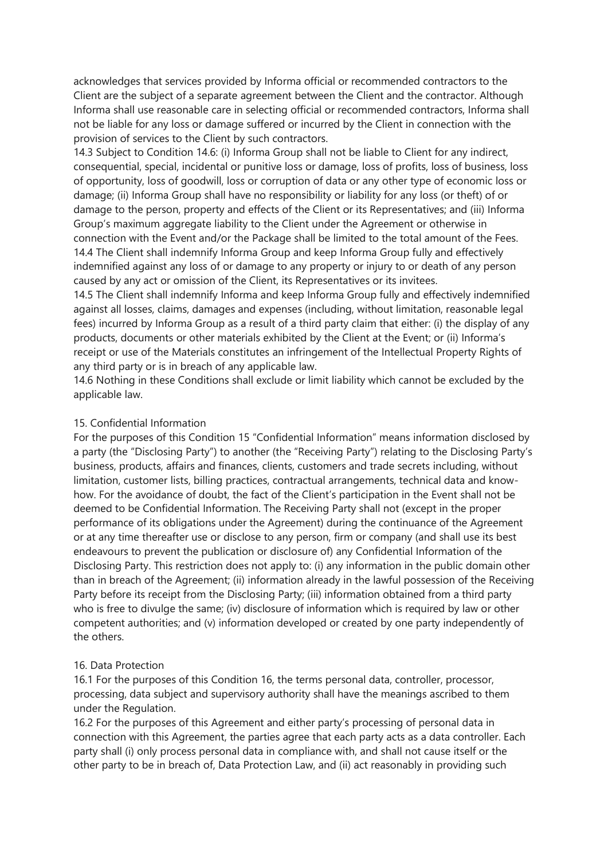acknowledges that services provided by Informa official or recommended contractors to the Client are the subject of a separate agreement between the Client and the contractor. Although Informa shall use reasonable care in selecting official or recommended contractors, Informa shall not be liable for any loss or damage suffered or incurred by the Client in connection with the provision of services to the Client by such contractors.

14.3 Subject to Condition 14.6: (i) Informa Group shall not be liable to Client for any indirect, consequential, special, incidental or punitive loss or damage, loss of profits, loss of business, loss of opportunity, loss of goodwill, loss or corruption of data or any other type of economic loss or damage; (ii) Informa Group shall have no responsibility or liability for any loss (or theft) of or damage to the person, property and effects of the Client or its Representatives; and (iii) Informa Group's maximum aggregate liability to the Client under the Agreement or otherwise in connection with the Event and/or the Package shall be limited to the total amount of the Fees. 14.4 The Client shall indemnify Informa Group and keep Informa Group fully and effectively indemnified against any loss of or damage to any property or injury to or death of any person caused by any act or omission of the Client, its Representatives or its invitees.

14.5 The Client shall indemnify Informa and keep Informa Group fully and effectively indemnified against all losses, claims, damages and expenses (including, without limitation, reasonable legal fees) incurred by Informa Group as a result of a third party claim that either: (i) the display of any products, documents or other materials exhibited by the Client at the Event; or (ii) Informa's receipt or use of the Materials constitutes an infringement of the Intellectual Property Rights of any third party or is in breach of any applicable law.

14.6 Nothing in these Conditions shall exclude or limit liability which cannot be excluded by the applicable law.

#### 15. Confidential Information

For the purposes of this Condition 15 "Confidential Information" means information disclosed by a party (the "Disclosing Party") to another (the "Receiving Party") relating to the Disclosing Party's business, products, affairs and finances, clients, customers and trade secrets including, without limitation, customer lists, billing practices, contractual arrangements, technical data and knowhow. For the avoidance of doubt, the fact of the Client's participation in the Event shall not be deemed to be Confidential Information. The Receiving Party shall not (except in the proper performance of its obligations under the Agreement) during the continuance of the Agreement or at any time thereafter use or disclose to any person, firm or company (and shall use its best endeavours to prevent the publication or disclosure of) any Confidential Information of the Disclosing Party. This restriction does not apply to: (i) any information in the public domain other than in breach of the Agreement; (ii) information already in the lawful possession of the Receiving Party before its receipt from the Disclosing Party; (iii) information obtained from a third party who is free to divulge the same; (iv) disclosure of information which is required by law or other competent authorities; and (v) information developed or created by one party independently of the others.

### 16. Data Protection

16.1 For the purposes of this Condition 16, the terms personal data, controller, processor, processing, data subject and supervisory authority shall have the meanings ascribed to them under the Regulation.

16.2 For the purposes of this Agreement and either party's processing of personal data in connection with this Agreement, the parties agree that each party acts as a data controller. Each party shall (i) only process personal data in compliance with, and shall not cause itself or the other party to be in breach of, Data Protection Law, and (ii) act reasonably in providing such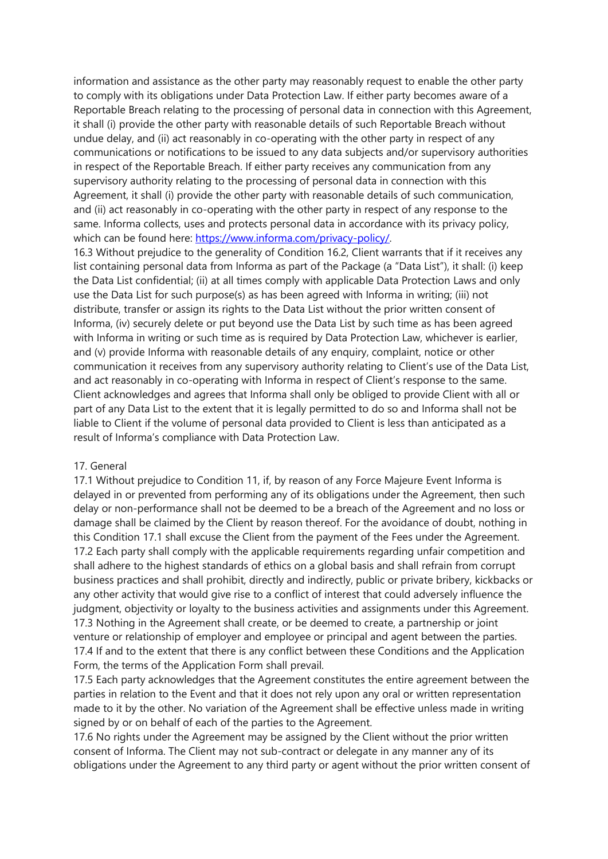information and assistance as the other party may reasonably request to enable the other party to comply with its obligations under Data Protection Law. If either party becomes aware of a Reportable Breach relating to the processing of personal data in connection with this Agreement, it shall (i) provide the other party with reasonable details of such Reportable Breach without undue delay, and (ii) act reasonably in co-operating with the other party in respect of any communications or notifications to be issued to any data subjects and/or supervisory authorities in respect of the Reportable Breach. If either party receives any communication from any supervisory authority relating to the processing of personal data in connection with this Agreement, it shall (i) provide the other party with reasonable details of such communication, and (ii) act reasonably in co-operating with the other party in respect of any response to the same. Informa collects, uses and protects personal data in accordance with its privacy policy, which can be found here: [https://www.informa.com/privacy-policy/.](https://www.informa.com/privacy-policy/)

16.3 Without prejudice to the generality of Condition 16.2, Client warrants that if it receives any list containing personal data from Informa as part of the Package (a "Data List"), it shall: (i) keep the Data List confidential; (ii) at all times comply with applicable Data Protection Laws and only use the Data List for such purpose(s) as has been agreed with Informa in writing; (iii) not distribute, transfer or assign its rights to the Data List without the prior written consent of Informa, (iv) securely delete or put beyond use the Data List by such time as has been agreed with Informa in writing or such time as is required by Data Protection Law, whichever is earlier, and (v) provide Informa with reasonable details of any enquiry, complaint, notice or other communication it receives from any supervisory authority relating to Client's use of the Data List, and act reasonably in co-operating with Informa in respect of Client's response to the same. Client acknowledges and agrees that Informa shall only be obliged to provide Client with all or part of any Data List to the extent that it is legally permitted to do so and Informa shall not be liable to Client if the volume of personal data provided to Client is less than anticipated as a result of Informa's compliance with Data Protection Law.

#### 17. General

17.1 Without prejudice to Condition 11, if, by reason of any Force Majeure Event Informa is delayed in or prevented from performing any of its obligations under the Agreement, then such delay or non-performance shall not be deemed to be a breach of the Agreement and no loss or damage shall be claimed by the Client by reason thereof. For the avoidance of doubt, nothing in this Condition 17.1 shall excuse the Client from the payment of the Fees under the Agreement. 17.2 Each party shall comply with the applicable requirements regarding unfair competition and shall adhere to the highest standards of ethics on a global basis and shall refrain from corrupt business practices and shall prohibit, directly and indirectly, public or private bribery, kickbacks or any other activity that would give rise to a conflict of interest that could adversely influence the judgment, objectivity or loyalty to the business activities and assignments under this Agreement. 17.3 Nothing in the Agreement shall create, or be deemed to create, a partnership or joint venture or relationship of employer and employee or principal and agent between the parties. 17.4 If and to the extent that there is any conflict between these Conditions and the Application Form, the terms of the Application Form shall prevail.

17.5 Each party acknowledges that the Agreement constitutes the entire agreement between the parties in relation to the Event and that it does not rely upon any oral or written representation made to it by the other. No variation of the Agreement shall be effective unless made in writing signed by or on behalf of each of the parties to the Agreement.

17.6 No rights under the Agreement may be assigned by the Client without the prior written consent of Informa. The Client may not sub-contract or delegate in any manner any of its obligations under the Agreement to any third party or agent without the prior written consent of